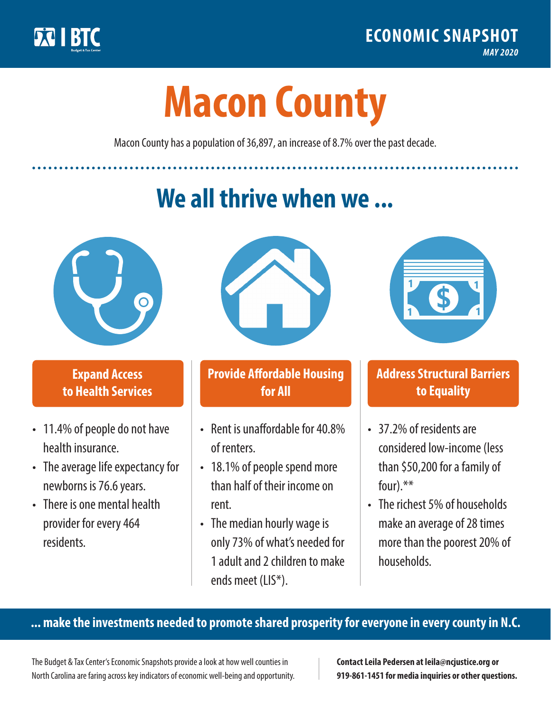

**1**

# **Macon County**

Macon County has a population of 36,897, an increase of 8.7% over the past decade.

# **We all thrive when we ...**



**\$ <sup>1</sup>**

**\$ <sup>1</sup>**

#### **Expand Access to Health Services**

- 11.4% of people do not have health insurance.
- The average life expectancy for newborns is 76.6 years.
- There is one mental health provider for every 464 residents.



## **Provide Affordable Housing for All**

- Rent is unaffordable for 40.8% of renters.
- 18.1% of people spend more than half of their income on rent.
- The median hourly wage is only 73% of what's needed for 1 adult and 2 children to make ends meet (LIS\*).



## **Address Structural Barriers to Equality**

- 37.2% of residents are considered low-income (less than \$50,200 for a family of four).\*\*
- The richest 5% of households make an average of 28 times more than the poorest 20% of households.

#### **... make the investments needed to promote shared prosperity for everyone in every county in N.C.**

The Budget & Tax Center's Economic Snapshots provide a look at how well counties in North Carolina are faring across key indicators of economic well-being and opportunity.